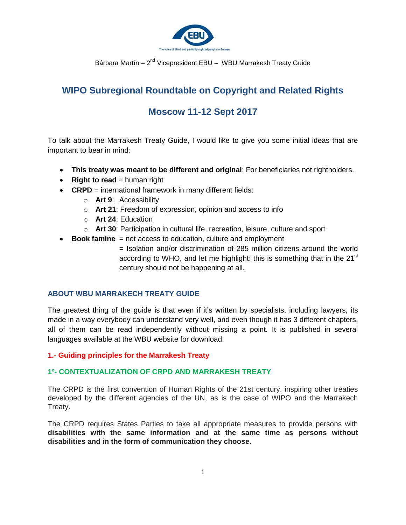

# **WIPO Subregional Roundtable on Copyright and Related Rights**

# **Moscow 11-12 Sept 2017**

To talk about the Marrakesh Treaty Guide, I would like to give you some initial ideas that are important to bear in mind:

- **This treaty was meant to be different and original**: For beneficiaries not rightholders.
- **•** Right to read = human right
- **CRPD** = international framework in many different fields:
	- o **Art 9**: Accessibility
	- o **Art 21**: Freedom of expression, opinion and access to info
	- o **Art 24**: Education
	- o **Art 30**: Participation in cultural life, recreation, leisure, culture and sport
- **Book famine** = not access to education, culture and employment
	- = Isolation and/or discrimination of 285 million citizens around the world according to WHO, and let me highlight: this is something that in the  $21<sup>st</sup>$ century should not be happening at all.

# **ABOUT WBU MARRAKECH TREATY GUIDE**

The greatest thing of the guide is that even if it's written by specialists, including lawyers, its made in a way everybody can understand very well, and even though it has 3 different chapters, all of them can be read independently without missing a point. It is published in several languages available at the WBU website for download.

# **1.- Guiding principles for the Marrakesh Treaty**

# **1º- CONTEXTUALIZATION OF CRPD AND MARRAKESH TREATY**

The CRPD is the first convention of Human Rights of the 21st century, inspiring other treaties developed by the different agencies of the UN, as is the case of WIPO and the Marrakech Treaty. The state of the state of the state of the state of the state of the state of the state of the state of the state of the state of the state of the state of the state of the state of the state of the state of the st

The CRPD requires States Parties to take all appropriate measures to provide persons with **disabilities with the same information and at the same time as persons without disabilities and in the form of communication they choose.**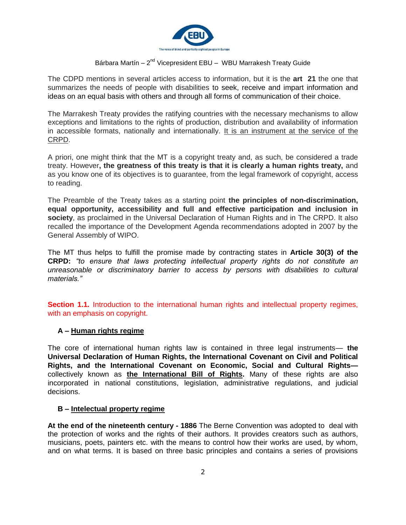

The CDPD mentions in several articles access to information, but it is the **art 21** the one that summarizes the needs of people with disabilities to seek, receive and impart information and ideas on an equal basis with others and through all forms of communication of their choice.

The Marrakesh Treaty provides the ratifying countries with the necessary mechanisms to allow exceptions and limitations to the rights of production, distribution and availability of information in accessible formats, nationally and internationally. It is an instrument at the service of the CRPD.

A priori, one might think that the MT is a copyright treaty and, as such, be considered a trade treaty. However**, the greatness of this treaty is that it is clearly a human rights treaty,** and as you know one of its objectives is to guarantee, from the legal framework of copyright, access to reading.

The Preamble of the Treaty takes as a starting point **the principles of non-discrimination, equal opportunity, accessibility and full and effective participation and inclusion in society**, as proclaimed in the Universal Declaration of Human Rights and in The CRPD. It also recalled the importance of the Development Agenda recommendations adopted in 2007 by the General Assembly of WIPO.

The MT thus helps to fulfill the promise made by contracting states in **Article 30(3) of the CRPD:** *"to ensure that laws protecting intellectual property rights do not constitute an unreasonable or discriminatory barrier to access by persons with disabilities to cultural materials."*

**Section 1.1.** Introduction to the international human rights and intellectual property regimes, with an emphasis on copyright.

# **A – Human rights regime**

The core of international human rights law is contained in three legal instruments— **the Universal Declaration of Human Rights, the International Covenant on Civil and Political Rights, and the International Covenant on Economic, Social and Cultural Rights** collectively known as **the International Bill of Rights.** Many of these rights are also incorporated in national constitutions, legislation, administrative regulations, and judicial decisions.

#### **B – Intelectual property regime**

**At the end of the nineteenth century - 1886** The Berne Convention was adopted to deal with the protection of works and the rights of their authors. It provides creators such as authors, musicians, poets, painters etc. with the means to control how their works are used, by whom, and on what terms. It is based on three basic principles and contains a series of provisions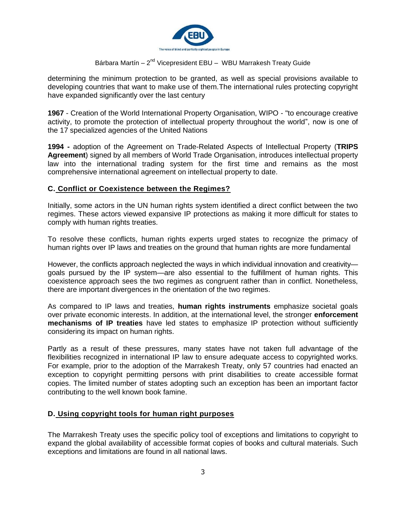

determining the minimum protection to be granted, as well as special provisions available to developing countries that want to make use of them.The international rules protecting copyright have expanded significantly over the last century

**1967** - Creation of the World International Property Organisation, WIPO - "to encourage creative activity, to promote the protection of intellectual property throughout the world", now is one of the 17 specialized agencies of the United Nations

**1994 -** adoption of the Agreement on Trade-Related Aspects of Intellectual Property (**TRIPS Agreement**) signed by all members of World Trade Organisation, introduces intellectual property law into the international trading system for the first time and remains as the most comprehensive international agreement on intellectual property to date.

#### **C. Conflict or Coexistence between the Regimes?**

Initially, some actors in the UN human rights system identified a direct conflict between the two regimes. These actors viewed expansive IP protections as making it more difficult for states to comply with human rights treaties.

To resolve these conflicts, human rights experts urged states to recognize the primacy of human rights over IP laws and treaties on the ground that human rights are more fundamental

However, the conflicts approach neglected the ways in which individual innovation and creativity goals pursued by the IP system—are also essential to the fulfillment of human rights. This coexistence approach sees the two regimes as congruent rather than in conflict. Nonetheless, there are important divergences in the orientation of the two regimes.

As compared to IP laws and treaties, **human rights instruments** emphasize societal goals over private economic interests. In addition, at the international level, the stronger **enforcement mechanisms of IP treaties** have led states to emphasize IP protection without sufficiently considering its impact on human rights.

Partly as a result of these pressures, many states have not taken full advantage of the flexibilities recognized in international IP law to ensure adequate access to copyrighted works. For example, prior to the adoption of the Marrakesh Treaty, only 57 countries had enacted an exception to copyright permitting persons with print disabilities to create accessible format copies. The limited number of states adopting such an exception has been an important factor contributing to the well known book famine.

# **D. Using copyright tools for human right purposes**

The Marrakesh Treaty uses the specific policy tool of exceptions and limitations to copyright to expand the global availability of accessible format copies of books and cultural materials. Such exceptions and limitations are found in all national laws.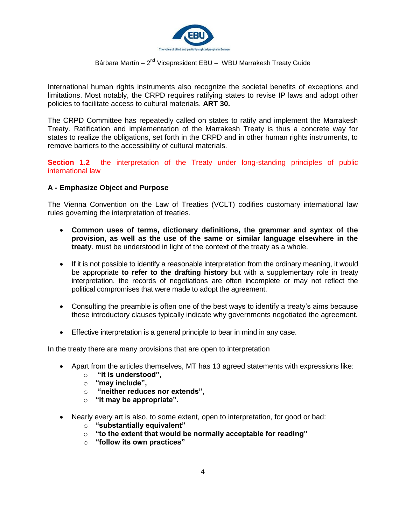

International human rights instruments also recognize the societal benefits of exceptions and limitations. Most notably, the CRPD requires ratifying states to revise IP laws and adopt other policies to facilitate access to cultural materials. **ART 30.**

The CRPD Committee has repeatedly called on states to ratify and implement the Marrakesh Treaty. Ratification and implementation of the Marrakesh Treaty is thus a concrete way for states to realize the obligations, set forth in the CRPD and in other human rights instruments, to remove barriers to the accessibility of cultural materials.

**Section 1.2** the interpretation of the Treaty under long-standing principles of public international law

#### **A - Emphasize Object and Purpose**

The Vienna Convention on the Law of Treaties (VCLT) codifies customary international law rules governing the interpretation of treaties.

- **Common uses of terms, dictionary definitions, the grammar and syntax of the provision, as well as the use of the same or similar language elsewhere in the treaty**. must be understood in light of the context of the treaty as a whole.
- If it is not possible to identify a reasonable interpretation from the ordinary meaning, it would be appropriate **to refer to the drafting history** but with a supplementary role in treaty interpretation, the records of negotiations are often incomplete or may not reflect the political compromises that were made to adopt the agreement.
- Consulting the preamble is often one of the best ways to identify a treaty's aims because these introductory clauses typically indicate why governments negotiated the agreement.
- Effective interpretation is a general principle to bear in mind in any case.

In the treaty there are many provisions that are open to interpretation

- Apart from the articles themselves, MT has 13 agreed statements with expressions like:
	- o **"it is understood",**
	- o **"may include",**
	- o **"neither reduces nor extends",**
	- o **"it may be appropriate".**
- Nearly every art is also, to some extent, open to interpretation, for good or bad:
	- o **"substantially equivalent"**
	- o **"to the extent that would be normally acceptable for reading"**
	- o **"follow its own practices"**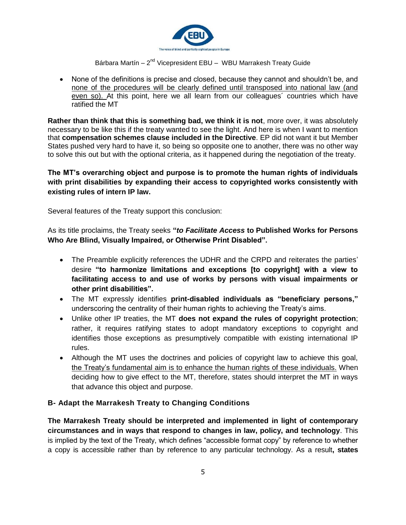

• None of the definitions is precise and closed, because they cannot and shouldn't be, and none of the procedures will be clearly defined until transposed into national law (and even so). At this point, here we all learn from our colleagues´ countries which have ratified the MT

**Rather than think that this is something bad, we think it is not**, more over, it was absolutely necessary to be like this if the treaty wanted to see the light. And here is when I want to mention that **compensation schemes clause included in the Directive**. EP did not want it but Member States pushed very hard to have it, so being so opposite one to another, there was no other way to solve this out but with the optional criteria, as it happened during the negotiation of the treaty.

**The MT's overarching object and purpose is to promote the human rights of individuals with print disabilities by expanding their access to copyrighted works consistently with existing rules of intern IP law.**

Several features of the Treaty support this conclusion:

As its title proclaims, the Treaty seeks **"***to Facilitate Access* **to Published Works for Persons Who Are Blind, Visually Impaired, or Otherwise Print Disabled".**

- The Preamble explicitly references the UDHR and the CRPD and reiterates the parties' desire **"to harmonize limitations and exceptions [to copyright] with a view to facilitating access to and use of works by persons with visual impairments or other print disabilities".**
- The MT expressly identifies **print-disabled individuals as "beneficiary persons,"**  underscoring the centrality of their human rights to achieving the Treaty's aims.
- Unlike other IP treaties, the MT **does not expand the rules of copyright protection**; rather, it requires ratifying states to adopt mandatory exceptions to copyright and identifies those exceptions as presumptively compatible with existing international IP rules.
- Although the MT uses the doctrines and policies of copyright law to achieve this goal, the Treaty's fundamental aim is to enhance the human rights of these individuals. When deciding how to give effect to the MT, therefore, states should interpret the MT in ways that advance this object and purpose.

# **B- Adapt the Marrakesh Treaty to Changing Conditions**

**The Marrakesh Treaty should be interpreted and implemented in light of contemporary circumstances and in ways that respond to changes in law, policy, and technology**. This is implied by the text of the Treaty, which defines "accessible format copy" by reference to whether a copy is accessible rather than by reference to any particular technology. As a result**, states**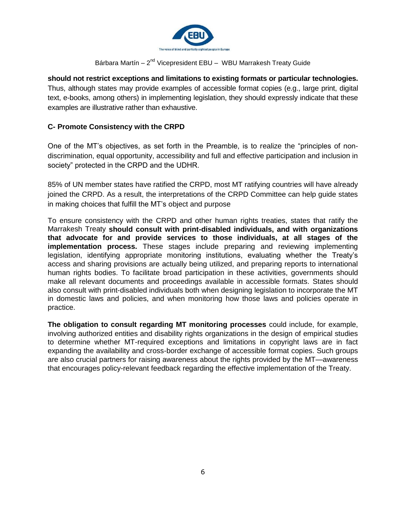

**should not restrict exceptions and limitations to existing formats or particular technologies.** Thus, although states may provide examples of accessible format copies (e.g., large print, digital text, e-books, among others) in implementing legislation, they should expressly indicate that these examples are illustrative rather than exhaustive.

# **C- Promote Consistency with the CRPD**

One of the MT's objectives, as set forth in the Preamble, is to realize the "principles of nondiscrimination, equal opportunity, accessibility and full and effective participation and inclusion in society" protected in the CRPD and the UDHR.

85% of UN member states have ratified the CRPD, most MT ratifying countries will have already joined the CRPD. As a result, the interpretations of the CRPD Committee can help guide states in making choices that fulfill the MT's object and purpose

To ensure consistency with the CRPD and other human rights treaties, states that ratify the Marrakesh Treaty **should consult with print-disabled individuals, and with organizations that advocate for and provide services to those individuals, at all stages of the implementation process.** These stages include preparing and reviewing implementing legislation, identifying appropriate monitoring institutions, evaluating whether the Treaty's access and sharing provisions are actually being utilized, and preparing reports to international human rights bodies. To facilitate broad participation in these activities, governments should make all relevant documents and proceedings available in accessible formats. States should also consult with print-disabled individuals both when designing legislation to incorporate the MT in domestic laws and policies, and when monitoring how those laws and policies operate in practice.

**The obligation to consult regarding MT monitoring processes** could include, for example, involving authorized entities and disability rights organizations in the design of empirical studies to determine whether MT-required exceptions and limitations in copyright laws are in fact expanding the availability and cross-border exchange of accessible format copies. Such groups are also crucial partners for raising awareness about the rights provided by the MT—awareness that encourages policy-relevant feedback regarding the effective implementation of the Treaty.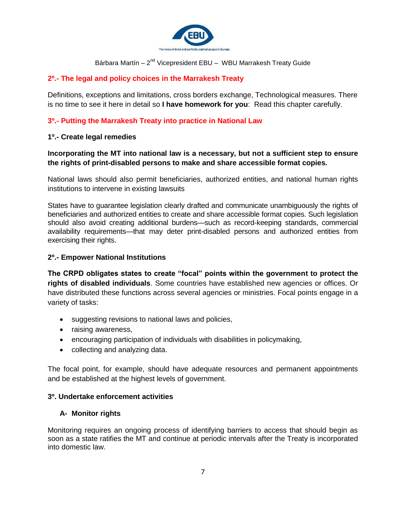

# **2º.- The legal and policy choices in the Marrakesh Treaty**

Definitions, exceptions and limitations, cross borders exchange, Technological measures. There is no time to see it here in detail so **I have homework for you**: Read this chapter carefully.

# **3º.- Putting the Marrakesh Treaty into practice in National Law**

#### **1º.- Create legal remedies**

**Incorporating the MT into national law is a necessary, but not a sufficient step to ensure the rights of print-disabled persons to make and share accessible format copies.**

National laws should also permit beneficiaries, authorized entities, and national human rights institutions to intervene in existing lawsuits

States have to guarantee legislation clearly drafted and communicate unambiguously the rights of beneficiaries and authorized entities to create and share accessible format copies. Such legislation should also avoid creating additional burdens—such as record-keeping standards, commercial availability requirements—that may deter print-disabled persons and authorized entities from exercising their rights.

#### **2º.- Empower National Institutions**

**The CRPD obligates states to create "focal" points within the government to protect the rights of disabled individuals**. Some countries have established new agencies or offices. Or have distributed these functions across several agencies or ministries. Focal points engage in a variety of tasks:

- suggesting revisions to national laws and policies,
- raising awareness,
- encouraging participation of individuals with disabilities in policymaking,
- collecting and analyzing data.

The focal point, for example, should have adequate resources and permanent appointments and be established at the highest levels of government.

#### **3º. Undertake enforcement activities**

#### **A- Monitor rights**

Monitoring requires an ongoing process of identifying barriers to access that should begin as soon as a state ratifies the MT and continue at periodic intervals after the Treaty is incorporated into domestic law.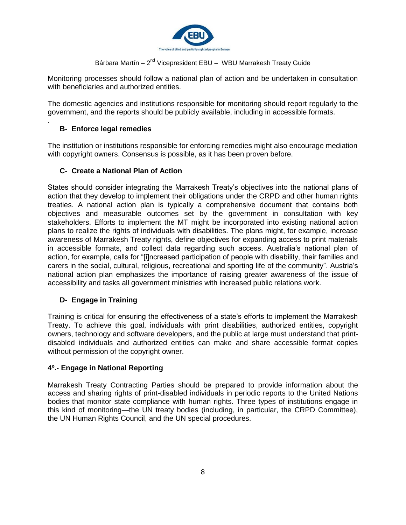

Monitoring processes should follow a national plan of action and be undertaken in consultation with beneficiaries and authorized entities.

The domestic agencies and institutions responsible for monitoring should report regularly to the government, and the reports should be publicly available, including in accessible formats.

# **B- Enforce legal remedies**

.

The institution or institutions responsible for enforcing remedies might also encourage mediation with copyright owners. Consensus is possible, as it has been proven before.

# **C- Create a National Plan of Action**

States should consider integrating the Marrakesh Treaty's objectives into the national plans of action that they develop to implement their obligations under the CRPD and other human rights treaties. A national action plan is typically a comprehensive document that contains both objectives and measurable outcomes set by the government in consultation with key stakeholders. Efforts to implement the MT might be incorporated into existing national action plans to realize the rights of individuals with disabilities. The plans might, for example, increase awareness of Marrakesh Treaty rights, define objectives for expanding access to print materials in accessible formats, and collect data regarding such access. Australia's national plan of action, for example, calls for "[i]ncreased participation of people with disability, their families and carers in the social, cultural, religious, recreational and sporting life of the community". Austria's national action plan emphasizes the importance of raising greater awareness of the issue of accessibility and tasks all government ministries with increased public relations work.

# **D- Engage in Training**

Training is critical for ensuring the effectiveness of a state's efforts to implement the Marrakesh Treaty. To achieve this goal, individuals with print disabilities, authorized entities, copyright owners, technology and software developers, and the public at large must understand that printdisabled individuals and authorized entities can make and share accessible format copies without permission of the copyright owner.

# **4º.- Engage in National Reporting**

Marrakesh Treaty Contracting Parties should be prepared to provide information about the access and sharing rights of print-disabled individuals in periodic reports to the United Nations bodies that monitor state compliance with human rights. Three types of institutions engage in this kind of monitoring—the UN treaty bodies (including, in particular, the CRPD Committee), the UN Human Rights Council, and the UN special procedures.